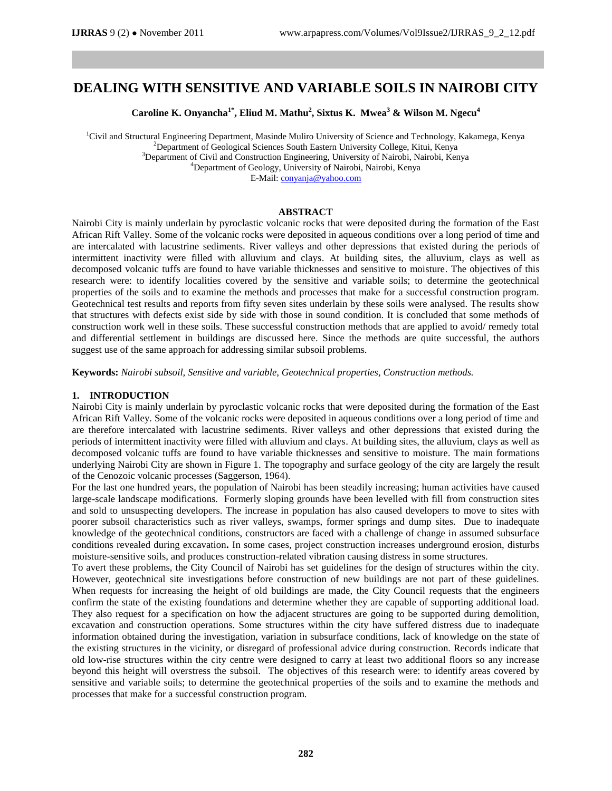# **DEALING WITH SENSITIVE AND VARIABLE SOILS IN NAIROBI CITY**

**Caroline K. Onyancha1\*, Eliud M. Mathu<sup>2</sup> , Sixtus K. Mwea<sup>3</sup> & Wilson M. Ngecu<sup>4</sup>**

<sup>1</sup>Civil and Structural Engineering Department, Masinde Muliro University of Science and Technology, Kakamega, Kenya <sup>2</sup>Department of Geological Sciences South Eastern University College, Kitui, Kenya <sup>3</sup>Department of Civil and Construction Engineering, University of Nairobi, Nairobi, Kenya <sup>4</sup>Department of Geology, University of Nairobi, Nairobi, Kenya E-Mail: [conyanja@yahoo.com](mailto:conyanja@yahoo.com)

## **ABSTRACT**

Nairobi City is mainly underlain by pyroclastic volcanic rocks that were deposited during the formation of the East African Rift Valley. Some of the volcanic rocks were deposited in aqueous conditions over a long period of time and are intercalated with lacustrine sediments. River valleys and other depressions that existed during the periods of intermittent inactivity were filled with alluvium and clays. At building sites, the alluvium, clays as well as decomposed volcanic tuffs are found to have variable thicknesses and sensitive to moisture. The objectives of this research were: to identify localities covered by the sensitive and variable soils; to determine the geotechnical properties of the soils and to examine the methods and processes that make for a successful construction program. Geotechnical test results and reports from fifty seven sites underlain by these soils were analysed. The results show that structures with defects exist side by side with those in sound condition. It is concluded that some methods of construction work well in these soils. These successful construction methods that are applied to avoid/ remedy total and differential settlement in buildings are discussed here. Since the methods are quite successful, the authors suggest use of the same approach for addressing similar subsoil problems.

**Keywords:** *Nairobi subsoil, Sensitive and variable, Geotechnical properties, Construction methods.*

#### **1. INTRODUCTION**

Nairobi City is mainly underlain by pyroclastic volcanic rocks that were deposited during the formation of the East African Rift Valley. Some of the volcanic rocks were deposited in aqueous conditions over a long period of time and are therefore intercalated with lacustrine sediments. River valleys and other depressions that existed during the periods of intermittent inactivity were filled with alluvium and clays. At building sites, the alluvium, clays as well as decomposed volcanic tuffs are found to have variable thicknesses and sensitive to moisture. The main formations underlying Nairobi City are shown in Figure 1. The topography and surface geology of the city are largely the result of the Cenozoic volcanic processes (Saggerson, 1964).

For the last one hundred years, the population of Nairobi has been steadily increasing; human activities have caused large-scale landscape modifications. Formerly sloping grounds have been levelled with fill from construction sites and sold to unsuspecting developers. The increase in population has also caused developers to move to sites with poorer subsoil characteristics such as river valleys, swamps, former springs and dump sites. Due to inadequate knowledge of the geotechnical conditions, constructors are faced with a challenge of change in assumed subsurface conditions revealed during excavation**.** In some cases, project construction increases underground erosion, disturbs moisture-sensitive soils, and produces construction-related vibration causing distress in some structures.

To avert these problems, the City Council of Nairobi has set guidelines for the design of structures within the city. However, geotechnical site investigations before construction of new buildings are not part of these guidelines. When requests for increasing the height of old buildings are made, the City Council requests that the engineers confirm the state of the existing foundations and determine whether they are capable of supporting additional load. They also request for a specification on how the adjacent structures are going to be supported during demolition, excavation and construction operations. Some structures within the city have suffered distress due to inadequate information obtained during the investigation, variation in subsurface conditions, lack of knowledge on the state of the existing structures in the vicinity, or disregard of professional advice during construction. Records indicate that old low-rise structures within the city centre were designed to carry at least two additional floors so any increase beyond this height will overstress the subsoil. The objectives of this research were: to identify areas covered by sensitive and variable soils; to determine the geotechnical properties of the soils and to examine the methods and processes that make for a successful construction program.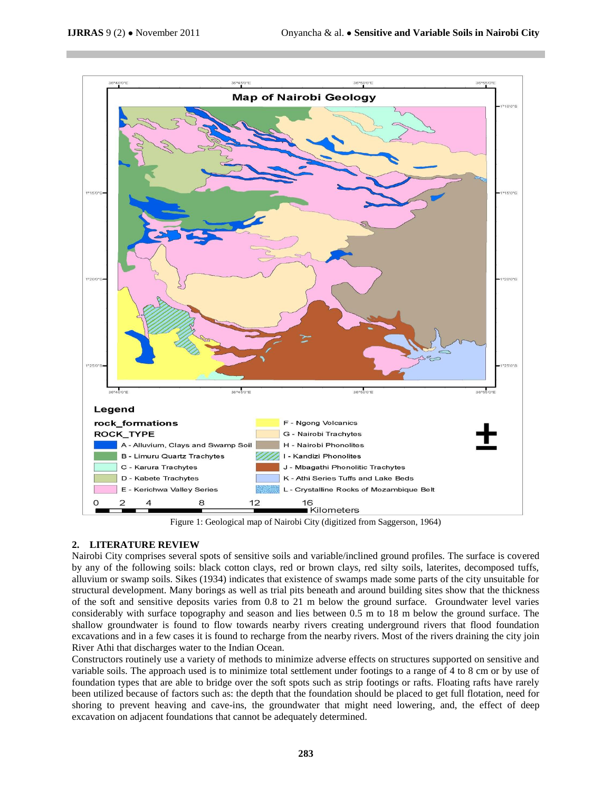

Figure 1: Geological map of Nairobi City (digitized from Saggerson, 1964)

# **2. LITERATURE REVIEW**

Nairobi City comprises several spots of sensitive soils and variable/inclined ground profiles. The surface is covered by any of the following soils: black cotton clays, red or brown clays, red silty soils, laterites, decomposed tuffs, alluvium or swamp soils. Sikes (1934) indicates that existence of swamps made some parts of the city unsuitable for structural development. Many borings as well as trial pits beneath and around building sites show that the thickness of the soft and sensitive deposits varies from 0.8 to 21 m below the ground surface. Groundwater level varies considerably with surface topography and season and lies between 0.5 m to 18 m below the ground surface. The shallow groundwater is found to flow towards nearby rivers creating underground rivers that flood foundation excavations and in a few cases it is found to recharge from the nearby rivers. Most of the rivers draining the city join River Athi that discharges water to the Indian Ocean.

Constructors routinely use a variety of methods to minimize adverse effects on structures supported on sensitive and variable soils. The approach used is to minimize total settlement under footings to a range of 4 to 8 cm or by use of foundation types that are able to bridge over the soft spots such as strip footings or rafts. Floating rafts have rarely been utilized because of factors such as: the depth that the foundation should be placed to get full flotation, need for shoring to prevent heaving and cave-ins, the groundwater that might need lowering, and, the effect of deep excavation on adjacent foundations that cannot be adequately determined.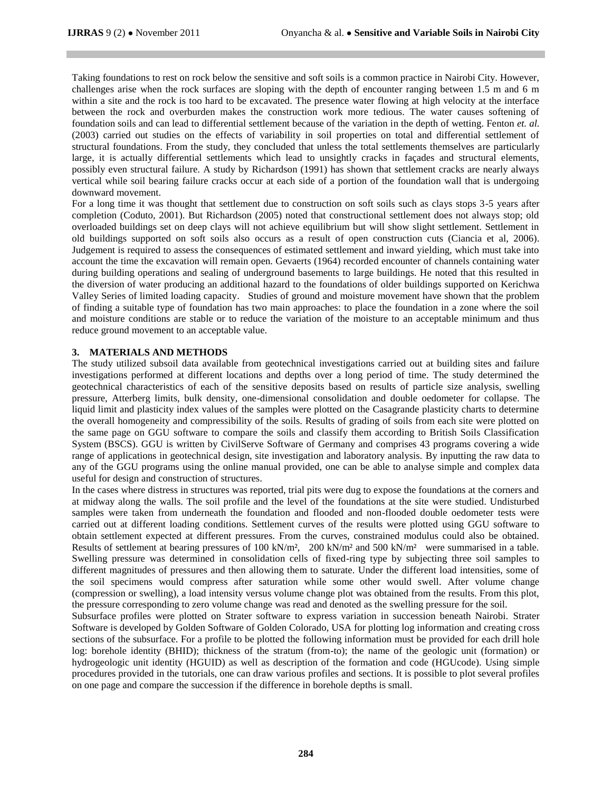Taking foundations to rest on rock below the sensitive and soft soils is a common practice in Nairobi City. However, challenges arise when the rock surfaces are sloping with the depth of encounter ranging between 1.5 m and 6 m within a site and the rock is too hard to be excavated. The presence water flowing at high velocity at the interface between the rock and overburden makes the construction work more tedious. The water causes softening of foundation soils and can lead to differential settlement because of the variation in the depth of wetting. Fenton *et. al.* (2003) carried out studies on the effects of variability in soil properties on total and differential settlement of structural foundations. From the study, they concluded that unless the total settlements themselves are particularly large, it is actually differential settlements which lead to unsightly cracks in façades and structural elements, possibly even structural failure. A study by Richardson (1991) has shown that settlement cracks are nearly always vertical while soil bearing failure cracks occur at each side of a portion of the foundation wall that is undergoing downward movement.

For a long time it was thought that settlement due to construction on soft soils such as clays stops 3-5 years after completion (Coduto, 2001). But Richardson (2005) noted that constructional settlement does not always stop; old overloaded buildings set on deep clays will not achieve equilibrium but will show slight settlement. Settlement in old buildings supported on soft soils also occurs as a result of open construction cuts (Ciancia et al, 2006). Judgement is required to assess the consequences of estimated settlement and inward yielding, which must take into account the time the excavation will remain open. Gevaerts (1964) recorded encounter of channels containing water during building operations and sealing of underground basements to large buildings. He noted that this resulted in the diversion of water producing an additional hazard to the foundations of older buildings supported on Kerichwa Valley Series of limited loading capacity. Studies of ground and moisture movement have shown that the problem of finding a suitable type of foundation has two main approaches: to place the foundation in a zone where the soil and moisture conditions are stable or to reduce the variation of the moisture to an acceptable minimum and thus reduce ground movement to an acceptable value.

## **3. MATERIALS AND METHODS**

The study utilized subsoil data available from geotechnical investigations carried out at building sites and failure investigations performed at different locations and depths over a long period of time. The study determined the geotechnical characteristics of each of the sensitive deposits based on results of particle size analysis, swelling pressure, Atterberg limits, bulk density, one-dimensional consolidation and double oedometer for collapse. The liquid limit and plasticity index values of the samples were plotted on the Casagrande plasticity charts to determine the overall homogeneity and compressibility of the soils. Results of grading of soils from each site were plotted on the same page on GGU software to compare the soils and classify them according to British Soils Classification System (BSCS). GGU is written by CivilServe Software of Germany and comprises 43 programs covering a wide range of applications in geotechnical design, site investigation and laboratory analysis. By inputting the raw data to any of the GGU programs using the online manual provided, one can be able to analyse simple and complex data useful for design and construction of structures.

In the cases where distress in structures was reported, trial pits were dug to expose the foundations at the corners and at midway along the walls. The soil profile and the level of the foundations at the site were studied. Undisturbed samples were taken from underneath the foundation and flooded and non-flooded double oedometer tests were carried out at different loading conditions. Settlement curves of the results were plotted using GGU software to obtain settlement expected at different pressures. From the curves, constrained modulus could also be obtained. Results of settlement at bearing pressures of 100 kN/m<sup>2</sup>, 200 kN/m<sup>2</sup> and 500 kN/m<sup>2</sup> were summarised in a table. Swelling pressure was determined in consolidation cells of fixed-ring type by subjecting three soil samples to different magnitudes of pressures and then allowing them to saturate. Under the different load intensities, some of the soil specimens would compress after saturation while some other would swell. After volume change (compression or swelling), a load intensity versus volume change plot was obtained from the results. From this plot, the pressure corresponding to zero volume change was read and denoted as the swelling pressure for the soil.

Subsurface profiles were plotted on Strater software to express variation in succession beneath Nairobi. Strater Software is developed by Golden Software of Golden Colorado, USA for plotting log information and creating cross sections of the subsurface. For a profile to be plotted the following information must be provided for each drill hole log: borehole identity (BHID); thickness of the stratum (from-to); the name of the geologic unit (formation) or hydrogeologic unit identity (HGUID) as well as description of the formation and code (HGUcode). Using simple procedures provided in the tutorials, one can draw various profiles and sections. It is possible to plot several profiles on one page and compare the succession if the difference in borehole depths is small.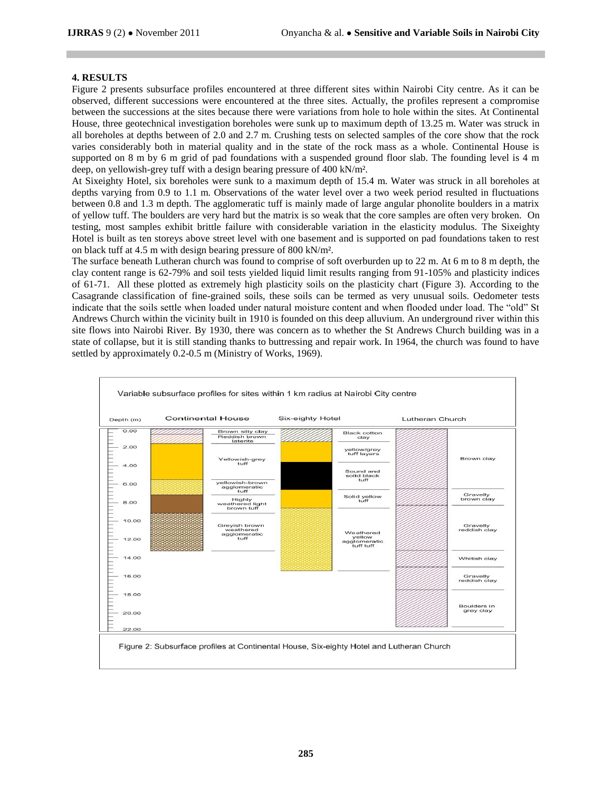# **4. RESULTS**

Figure 2 presents subsurface profiles encountered at three different sites within Nairobi City centre. As it can be observed, different successions were encountered at the three sites. Actually, the profiles represent a compromise between the successions at the sites because there were variations from hole to hole within the sites. At Continental House, three geotechnical investigation boreholes were sunk up to maximum depth of 13.25 m. Water was struck in all boreholes at depths between of 2.0 and 2.7 m. Crushing tests on selected samples of the core show that the rock varies considerably both in material quality and in the state of the rock mass as a whole. Continental House is supported on 8 m by 6 m grid of pad foundations with a suspended ground floor slab. The founding level is 4 m deep, on yellowish-grey tuff with a design bearing pressure of 400 kN/m².

At Sixeighty Hotel, six boreholes were sunk to a maximum depth of 15.4 m. Water was struck in all boreholes at depths varying from 0.9 to 1.1 m. Observations of the water level over a two week period resulted in fluctuations between 0.8 and 1.3 m depth. The agglomeratic tuff is mainly made of large angular phonolite boulders in a matrix of yellow tuff. The boulders are very hard but the matrix is so weak that the core samples are often very broken. On testing, most samples exhibit brittle failure with considerable variation in the elasticity modulus. The Sixeighty Hotel is built as ten storeys above street level with one basement and is supported on pad foundations taken to rest on black tuff at 4.5 m with design bearing pressure of 800 kN/m².

The surface beneath Lutheran church was found to comprise of soft overburden up to 22 m. At 6 m to 8 m depth, the clay content range is 62-79% and soil tests yielded liquid limit results ranging from 91-105% and plasticity indices of 61-71. All these plotted as extremely high plasticity soils on the plasticity chart (Figure 3). According to the Casagrande classification of fine-grained soils, these soils can be termed as very unusual soils. Oedometer tests indicate that the soils settle when loaded under natural moisture content and when flooded under load. The "old" St Andrews Church within the vicinity built in 1910 is founded on this deep alluvium. An underground river within this site flows into Nairobi River. By 1930, there was concern as to whether the St Andrews Church building was in a state of collapse, but it is still standing thanks to buttressing and repair work. In 1964, the church was found to have settled by approximately 0.2-0.5 m (Ministry of Works, 1969).

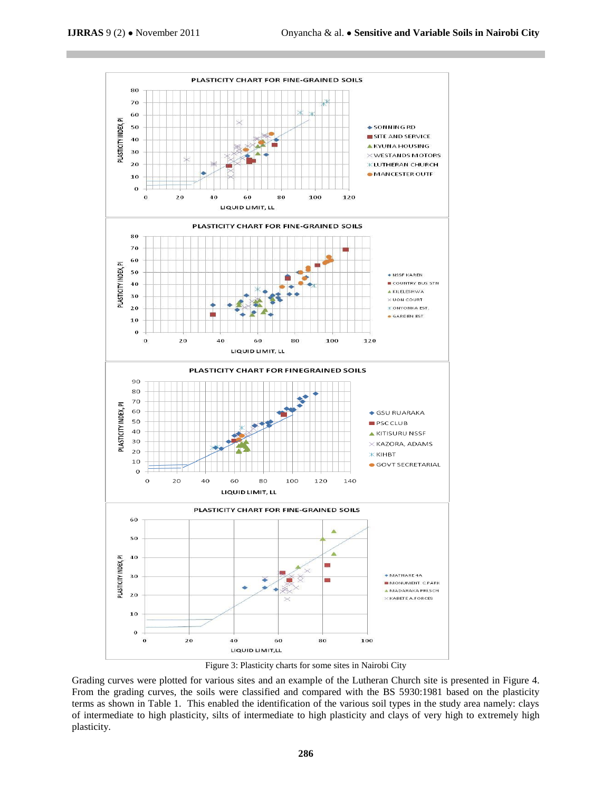

Figure 3: Plasticity charts for some sites in Nairobi City

Grading curves were plotted for various sites and an example of the Lutheran Church site is presented in Figure 4. From the grading curves, the soils were classified and compared with the BS 5930:1981 based on the plasticity terms as shown in Table 1. This enabled the identification of the various soil types in the study area namely: clays of intermediate to high plasticity, silts of intermediate to high plasticity and clays of very high to extremely high plasticity.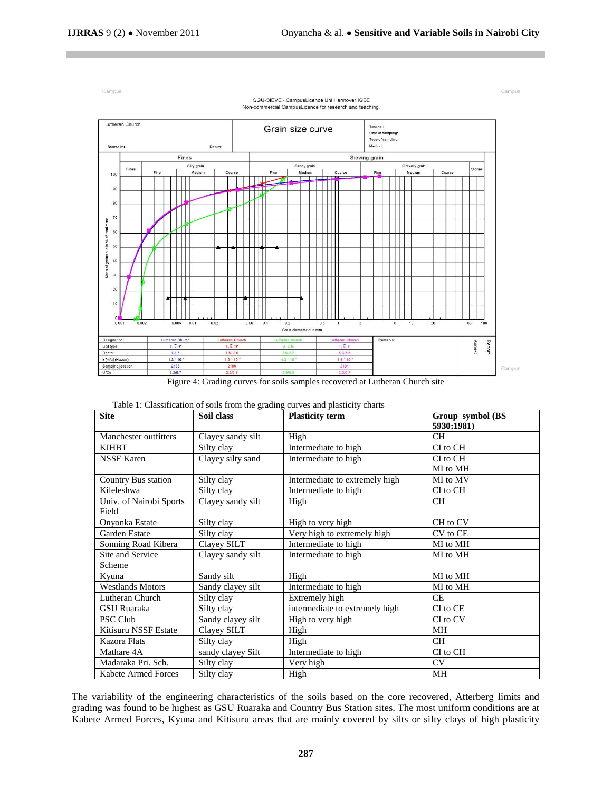

Table 1: Classification of soils from the grading curves and plasticity charts

| <b>Site</b>                | Soil class        | <b>Plasticity term</b>         | Group symbol (BS<br>5930:1981) |  |
|----------------------------|-------------------|--------------------------------|--------------------------------|--|
| Manchester outfitters      | Clayey sandy silt | High                           | CH.                            |  |
| <b>KIHBT</b>               | Silty clay        | Intermediate to high           | CI to CH                       |  |
| <b>NSSF Karen</b>          | Clayey silty sand | Intermediate to high           | CI to CH                       |  |
|                            |                   |                                | MI to MH                       |  |
| Country Bus station        | Silty clay        | Intermediate to extremely high | MI to MV                       |  |
| Kileleshwa                 | Silty clay        | Intermediate to high           | CI to CH                       |  |
| Univ. of Nairobi Sports    | Clayey sandy silt | High                           | CH                             |  |
| Field                      |                   |                                |                                |  |
| Onyonka Estate             | Silty clay        | High to very high              | CH to CV                       |  |
| Garden Estate              | Silty clay        | Very high to extremely high    | CV to CE                       |  |
| Sonning Road Kibera        | Clayey SILT       | Intermediate to high           | MI to MH                       |  |
| Site and Service           | Clayey sandy silt | Intermediate to high           | MI to MH                       |  |
| Scheme                     |                   |                                |                                |  |
| Kvuna                      | Sandy silt        | High                           | MI to MH                       |  |
| <b>Westlands Motors</b>    | Sandy clayey silt | Intermediate to high           | MI to MH                       |  |
| Lutheran Church            | Silty clay        | Extremely high                 | CE.                            |  |
| GSU Ruaraka                | Silty clay        | intermediate to extremely high | CI to CE                       |  |
| PSC Club                   | Sandy clayey silt | High to very high              | CI to CV                       |  |
| Kitisuru NSSF Estate       | Clayey SILT       | High                           | MН                             |  |
| Kazora Flats               | Silty clay        | High                           | CH.                            |  |
| Mathare 4A                 | sandy clayey Silt | Intermediate to high           | CI to CH                       |  |
| Madaraka Pri. Sch.         | Silty clay        | Very high                      | CV.                            |  |
| <b>Kabete Armed Forces</b> | Silty clay        | High                           | MН                             |  |

The variability of the engineering characteristics of the soils based on the core recovered, Atterberg limits and grading was found to be highest as GSU Ruaraka and Country Bus Station sites. The most uniform conditions are at Kabete Armed Forces, Kyuna and Kitisuru areas that are mainly covered by silts or silty clays of high plasticity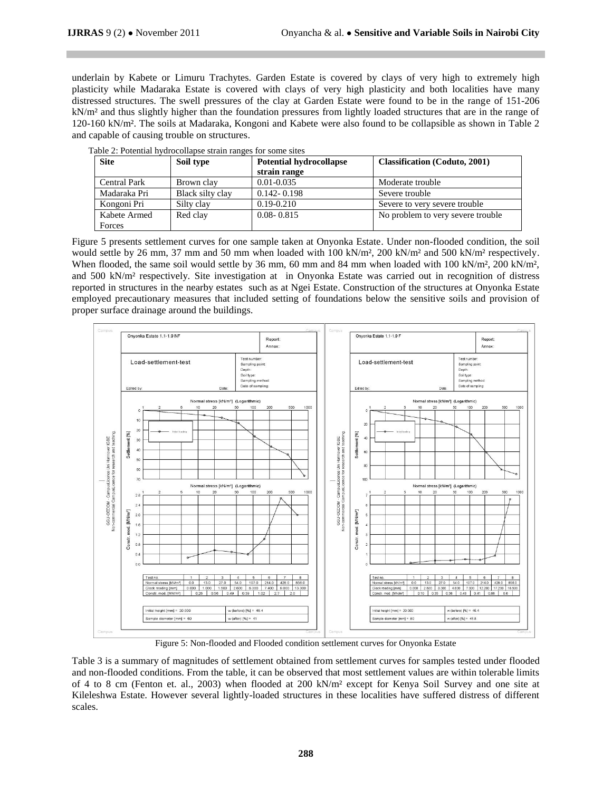underlain by Kabete or Limuru Trachytes. Garden Estate is covered by clays of very high to extremely high plasticity while Madaraka Estate is covered with clays of very high plasticity and both localities have many distressed structures. The swell pressures of the clay at Garden Estate were found to be in the range of 151-206 kN/m² and thus slightly higher than the foundation pressures from lightly loaded structures that are in the range of 120-160 kN/m². The soils at Madaraka, Kongoni and Kabete were also found to be collapsible as shown in Table 2 and capable of causing trouble on structures.

| <b>Site</b>         | Soil type        | <b>Potential hydrocollapse</b> | <b>Classification</b> (Coduto, 2001) |  |  |
|---------------------|------------------|--------------------------------|--------------------------------------|--|--|
|                     |                  | strain range                   |                                      |  |  |
| <b>Central Park</b> | Brown clay       | $0.01 - 0.035$                 | Moderate trouble                     |  |  |
| Madaraka Pri        | Black silty clay | $0.142 - 0.198$                | Severe trouble                       |  |  |
| Kongoni Pri         | Silty clay       | $0.19 - 0.210$                 | Severe to very severe trouble        |  |  |
| Kabete Armed        | Red clay         | $0.08 - 0.815$                 | No problem to very severe trouble.   |  |  |
| Forces              |                  |                                |                                      |  |  |

|  | Table 2: Potential hydrocollapse strain ranges for some sites |  |  |
|--|---------------------------------------------------------------|--|--|
|--|---------------------------------------------------------------|--|--|

Figure 5 presents settlement curves for one sample taken at Onyonka Estate. Under non-flooded condition, the soil would settle by 26 mm, 37 mm and 50 mm when loaded with 100 kN/m<sup>2</sup>, 200 kN/m<sup>2</sup> and 500 kN/m<sup>2</sup> respectively. When flooded, the same soil would settle by 36 mm, 60 mm and 84 mm when loaded with 100 kN/m², 200 kN/m², and 500 kN/m² respectively. Site investigation at in Onyonka Estate was carried out in recognition of distress reported in structures in the nearby estates such as at Ngei Estate. Construction of the structures at Onyonka Estate employed precautionary measures that included setting of foundations below the sensitive soils and provision of proper surface drainage around the buildings.



Figure 5: Non-flooded and Flooded condition settlement curves for Onyonka Estate

Table 3 is a summary of magnitudes of settlement obtained from settlement curves for samples tested under flooded and non-flooded conditions. From the table, it can be observed that most settlement values are within tolerable limits of 4 to 8 cm (Fenton et. al., 2003) when flooded at 200 kN/m² except for Kenya Soil Survey and one site at Kileleshwa Estate. However several lightly-loaded structures in these localities have suffered distress of different scales.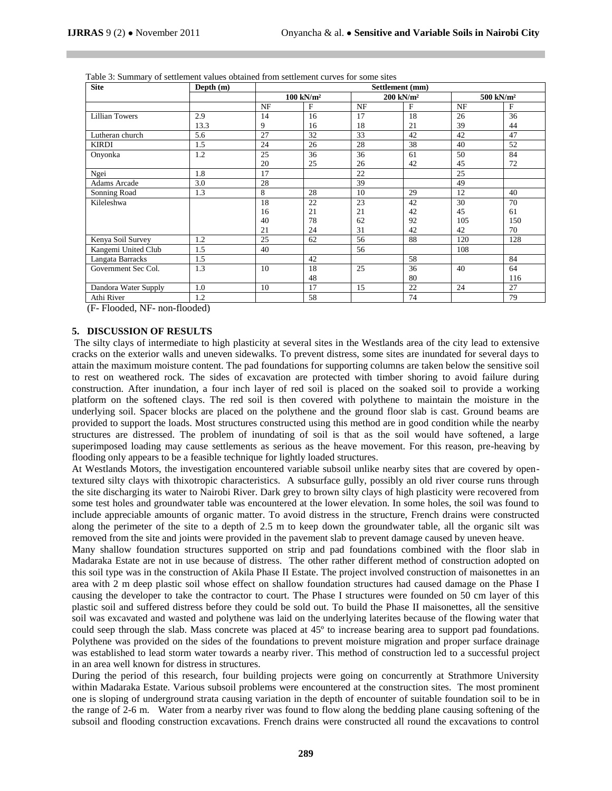| <b>Site</b>           | Depth (m) | Settlement (mm) |                         |                         |    |                         |     |
|-----------------------|-----------|-----------------|-------------------------|-------------------------|----|-------------------------|-----|
|                       |           |                 | $100$ kN/m <sup>2</sup> | $200$ kN/m <sup>2</sup> |    | $500$ kN/m <sup>2</sup> |     |
|                       |           | NF              | F                       | NF                      | F  | <b>NF</b>               | F   |
| <b>Lillian Towers</b> | 2.9       | 14              | 16                      | 17                      | 18 | 26                      | 36  |
|                       | 13.3      | 9               | 16                      | 18                      | 21 | 39                      | 44  |
| Lutheran church       | 5.6       | 27              | 32                      | 33                      | 42 | 42                      | 47  |
| <b>KIRDI</b>          | 1.5       | 24              | 26                      | 28                      | 38 | 40                      | 52  |
| Onyonka               | 1.2       | 25              | 36                      | 36                      | 61 | 50                      | 84  |
|                       |           | 20              | 25                      | 26                      | 42 | 45                      | 72  |
| Ngei                  | 1.8       | 17              |                         | 22                      |    | 25                      |     |
| <b>Adams Arcade</b>   | 3.0       | 28              |                         | 39                      |    | 49                      |     |
| Sonning Road          | 1.3       | 8               | 28                      | 10                      | 29 | 12                      | 40  |
| Kileleshwa            |           | 18              | 22                      | 23                      | 42 | 30                      | 70  |
|                       |           | 16              | 21                      | 21                      | 42 | 45                      | 61  |
|                       |           | 40              | 78                      | 62                      | 92 | 105                     | 150 |
|                       |           | 21              | 24                      | 31                      | 42 | 42                      | 70  |
| Kenya Soil Survey     | 1.2       | 25              | 62                      | 56                      | 88 | 120                     | 128 |
| Kangemi United Club   | 1.5       | 40              |                         | 56                      |    | 108                     |     |
| Langata Barracks      | 1.5       |                 | 42                      |                         | 58 |                         | 84  |
| Government Sec Col.   | 1.3       | 10              | 18                      | 25                      | 36 | 40                      | 64  |
|                       |           |                 | 48                      |                         | 80 |                         | 116 |
| Dandora Water Supply  | 1.0       | 10              | 17                      | 15                      | 22 | 24                      | 27  |
| Athi River            | 1.2       |                 | 58                      |                         | 74 |                         | 79  |

Table 3: Summary of settlement values obtained from settlement curves for some sites

(F- Flooded, NF- non-flooded)

# **5. DISCUSSION OF RESULTS**

The silty clays of intermediate to high plasticity at several sites in the Westlands area of the city lead to extensive cracks on the exterior walls and uneven sidewalks. To prevent distress, some sites are inundated for several days to attain the maximum moisture content. The pad foundations for supporting columns are taken below the sensitive soil to rest on weathered rock. The sides of excavation are protected with timber shoring to avoid failure during construction. After inundation, a four inch layer of red soil is placed on the soaked soil to provide a working platform on the softened clays. The red soil is then covered with polythene to maintain the moisture in the underlying soil. Spacer blocks are placed on the polythene and the ground floor slab is cast. Ground beams are provided to support the loads. Most structures constructed using this method are in good condition while the nearby structures are distressed. The problem of inundating of soil is that as the soil would have softened, a large superimposed loading may cause settlements as serious as the heave movement. For this reason, pre-heaving by flooding only appears to be a feasible technique for lightly loaded structures.

At Westlands Motors, the investigation encountered variable subsoil unlike nearby sites that are covered by opentextured silty clays with thixotropic characteristics. A subsurface gully, possibly an old river course runs through the site discharging its water to Nairobi River. Dark grey to brown silty clays of high plasticity were recovered from some test holes and groundwater table was encountered at the lower elevation. In some holes, the soil was found to include appreciable amounts of organic matter. To avoid distress in the structure, French drains were constructed along the perimeter of the site to a depth of 2.5 m to keep down the groundwater table, all the organic silt was removed from the site and joints were provided in the pavement slab to prevent damage caused by uneven heave.

Many shallow foundation structures supported on strip and pad foundations combined with the floor slab in Madaraka Estate are not in use because of distress. The other rather different method of construction adopted on this soil type was in the construction of Akila Phase II Estate. The project involved construction of maisonettes in an area with 2 m deep plastic soil whose effect on shallow foundation structures had caused damage on the Phase I causing the developer to take the contractor to court. The Phase I structures were founded on 50 cm layer of this plastic soil and suffered distress before they could be sold out. To build the Phase II maisonettes, all the sensitive soil was excavated and wasted and polythene was laid on the underlying laterites because of the flowing water that could seep through the slab. Mass concrete was placed at 45º to increase bearing area to support pad foundations. Polythene was provided on the sides of the foundations to prevent moisture migration and proper surface drainage was established to lead storm water towards a nearby river. This method of construction led to a successful project in an area well known for distress in structures.

During the period of this research, four building projects were going on concurrently at Strathmore University within Madaraka Estate. Various subsoil problems were encountered at the construction sites. The most prominent one is sloping of underground strata causing variation in the depth of encounter of suitable foundation soil to be in the range of 2-6 m. Water from a nearby river was found to flow along the bedding plane causing softening of the subsoil and flooding construction excavations. French drains were constructed all round the excavations to control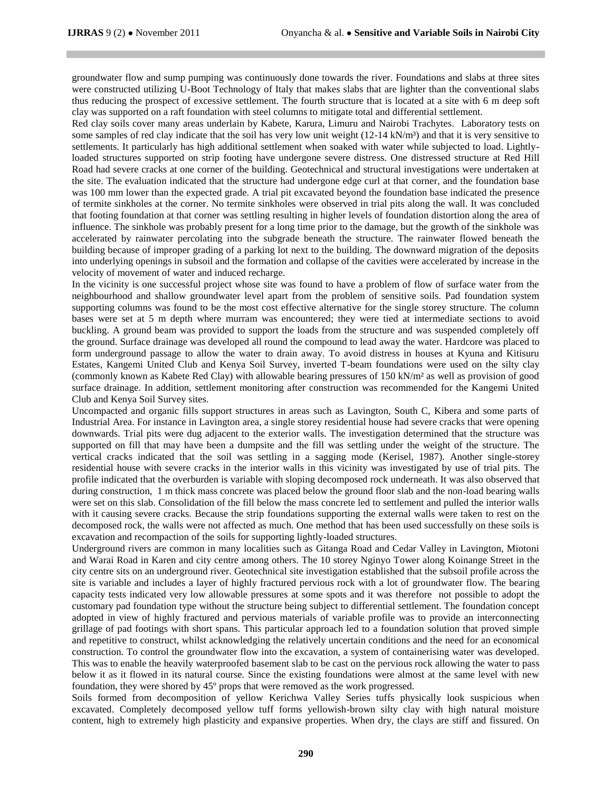groundwater flow and sump pumping was continuously done towards the river. Foundations and slabs at three sites were constructed utilizing U-Boot Technology of Italy that makes slabs that are lighter than the conventional slabs thus reducing the prospect of excessive settlement. The fourth structure that is located at a site with 6 m deep soft clay was supported on a raft foundation with steel columns to mitigate total and differential settlement.

Red clay soils cover many areas underlain by Kabete, Karura, Limuru and Nairobi Trachytes. Laboratory tests on some samples of red clay indicate that the soil has very low unit weight  $(12\t{-}14 \text{ kN/m}^3)$  and that it is very sensitive to settlements. It particularly has high additional settlement when soaked with water while subjected to load. Lightlyloaded structures supported on strip footing have undergone severe distress. One distressed structure at Red Hill Road had severe cracks at one corner of the building. Geotechnical and structural investigations were undertaken at the site. The evaluation indicated that the structure had undergone edge curl at that corner, and the foundation base was 100 mm lower than the expected grade. A trial pit excavated beyond the foundation base indicated the presence of termite sinkholes at the corner. No termite sinkholes were observed in trial pits along the wall. It was concluded that footing foundation at that corner was settling resulting in higher levels of foundation distortion along the area of influence. The sinkhole was probably present for a long time prior to the damage, but the growth of the sinkhole was accelerated by rainwater percolating into the subgrade beneath the structure. The rainwater flowed beneath the building because of improper grading of a parking lot next to the building. The downward migration of the deposits into underlying openings in subsoil and the formation and collapse of the cavities were accelerated by increase in the velocity of movement of water and induced recharge.

In the vicinity is one successful project whose site was found to have a problem of flow of surface water from the neighbourhood and shallow groundwater level apart from the problem of sensitive soils. Pad foundation system supporting columns was found to be the most cost effective alternative for the single storey structure. The column bases were set at 5 m depth where murram was encountered; they were tied at intermediate sections to avoid buckling. A ground beam was provided to support the loads from the structure and was suspended completely off the ground. Surface drainage was developed all round the compound to lead away the water. Hardcore was placed to form underground passage to allow the water to drain away. To avoid distress in houses at Kyuna and Kitisuru Estates, Kangemi United Club and Kenya Soil Survey, inverted T-beam foundations were used on the silty clay (commonly known as Kabete Red Clay) with allowable bearing pressures of 150 kN/m² as well as provision of good surface drainage. In addition, settlement monitoring after construction was recommended for the Kangemi United Club and Kenya Soil Survey sites.

Uncompacted and organic fills support structures in areas such as Lavington, South C, Kibera and some parts of Industrial Area. For instance in Lavington area, a single storey residential house had severe cracks that were opening downwards. Trial pits were dug adjacent to the exterior walls. The investigation determined that the structure was supported on fill that may have been a dumpsite and the fill was settling under the weight of the structure. The vertical cracks indicated that the soil was settling in a sagging mode (Kerisel, 1987). Another single-storey residential house with severe cracks in the interior walls in this vicinity was investigated by use of trial pits. The profile indicated that the overburden is variable with sloping decomposed rock underneath. It was also observed that during construction, 1 m thick mass concrete was placed below the ground floor slab and the non-load bearing walls were set on this slab. Consolidation of the fill below the mass concrete led to settlement and pulled the interior walls with it causing severe cracks. Because the strip foundations supporting the external walls were taken to rest on the decomposed rock, the walls were not affected as much. One method that has been used successfully on these soils is excavation and recompaction of the soils for supporting lightly-loaded structures.

Underground rivers are common in many localities such as Gitanga Road and Cedar Valley in Lavington, Miotoni and Warai Road in Karen and city centre among others. The 10 storey Nginyo Tower along Koinange Street in the city centre sits on an underground river. Geotechnical site investigation established that the subsoil profile across the site is variable and includes a layer of highly fractured pervious rock with a lot of groundwater flow. The bearing capacity tests indicated very low allowable pressures at some spots and it was therefore not possible to adopt the customary pad foundation type without the structure being subject to differential settlement. The foundation concept adopted in view of highly fractured and pervious materials of variable profile was to provide an interconnecting grillage of pad footings with short spans. This particular approach led to a foundation solution that proved simple and repetitive to construct, whilst acknowledging the relatively uncertain conditions and the need for an economical construction. To control the groundwater flow into the excavation, a system of containerising water was developed. This was to enable the heavily waterproofed basement slab to be cast on the pervious rock allowing the water to pass below it as it flowed in its natural course. Since the existing foundations were almost at the same level with new foundation, they were shored by 45º props that were removed as the work progressed.

Soils formed from decomposition of yellow Kerichwa Valley Series tuffs physically look suspicious when excavated. Completely decomposed yellow tuff forms yellowish-brown silty clay with high natural moisture content, high to extremely high plasticity and expansive properties. When dry, the clays are stiff and fissured. On